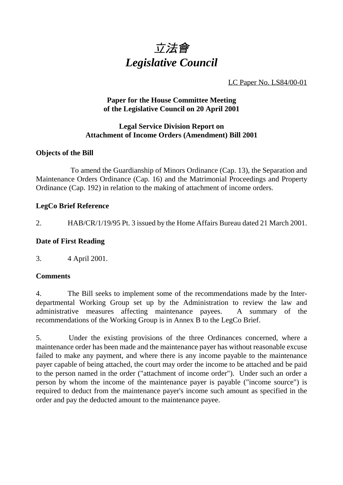

LC Paper No. LS84/00-01

## **Paper for the House Committee Meeting of the Legislative Council on 20 April 2001**

#### **Legal Service Division Report on Attachment of Income Orders (Amendment) Bill 2001**

# **Objects of the Bill**

To amend the Guardianship of Minors Ordinance (Cap. 13), the Separation and Maintenance Orders Ordinance (Cap. 16) and the Matrimonial Proceedings and Property Ordinance (Cap. 192) in relation to the making of attachment of income orders.

## **LegCo Brief Reference**

2. HAB/CR/1/19/95 Pt. 3 issued by the Home Affairs Bureau dated 21 March 2001.

# **Date of First Reading**

3. 4 April 2001.

## **Comments**

4. The Bill seeks to implement some of the recommendations made by the Interdepartmental Working Group set up by the Administration to review the law and administrative measures affecting maintenance payees. A summary of the recommendations of the Working Group is in Annex B to the LegCo Brief.

5. Under the existing provisions of the three Ordinances concerned, where a maintenance order has been made and the maintenance payer has without reasonable excuse failed to make any payment, and where there is any income payable to the maintenance payer capable of being attached, the court may order the income to be attached and be paid to the person named in the order ("attachment of income order"). Under such an order a person by whom the income of the maintenance payer is payable ("income source") is required to deduct from the maintenance payer's income such amount as specified in the order and pay the deducted amount to the maintenance payee.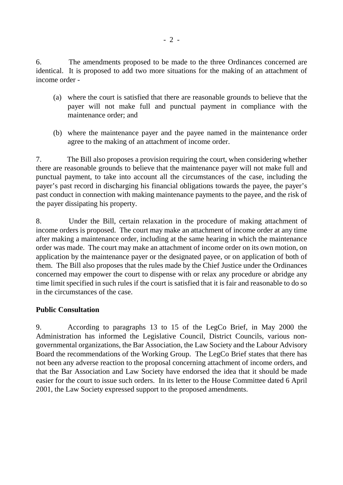6. The amendments proposed to be made to the three Ordinances concerned are identical. It is proposed to add two more situations for the making of an attachment of income order -

- (a) where the court is satisfied that there are reasonable grounds to believe that the payer will not make full and punctual payment in compliance with the maintenance order; and
- (b) where the maintenance payer and the payee named in the maintenance order agree to the making of an attachment of income order.

7. The Bill also proposes a provision requiring the court, when considering whether there are reasonable grounds to believe that the maintenance payer will not make full and punctual payment, to take into account all the circumstances of the case, including the payer's past record in discharging his financial obligations towards the payee, the payer's past conduct in connection with making maintenance payments to the payee, and the risk of the payer dissipating his property.

8. Under the Bill, certain relaxation in the procedure of making attachment of income orders is proposed. The court may make an attachment of income order at any time after making a maintenance order, including at the same hearing in which the maintenance order was made. The court may make an attachment of income order on its own motion, on application by the maintenance payer or the designated payee, or on application of both of them. The Bill also proposes that the rules made by the Chief Justice under the Ordinances concerned may empower the court to dispense with or relax any procedure or abridge any time limit specified in such rules if the court is satisfied that it is fair and reasonable to do so in the circumstances of the case.

## **Public Consultation**

9. According to paragraphs 13 to 15 of the LegCo Brief, in May 2000 the Administration has informed the Legislative Council, District Councils, various nongovernmental organizations, the Bar Association, the Law Society and the Labour Advisory Board the recommendations of the Working Group. The LegCo Brief states that there has not been any adverse reaction to the proposal concerning attachment of income orders, and that the Bar Association and Law Society have endorsed the idea that it should be made easier for the court to issue such orders. In its letter to the House Committee dated 6 April 2001, the Law Society expressed support to the proposed amendments.